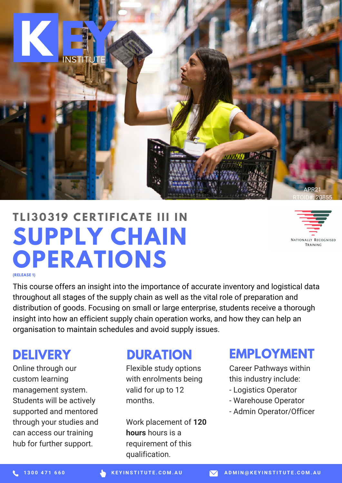

# **SUPPLY CHAIN OPERATIONS T L I3 0 319 CE R T I F ICAT E III I N**



**(RELEASE 1)**

This course offers an insight into the importance of accurate inventory and logistical data throughout all stages of the supply chain as well as the vital role of preparation and distribution of goods. Focusing on small or large enterprise, students receive a thorough insight into how an efficient supply chain operation works, and how they can help an organisation to maintain schedules and avoid supply issues.

### **DELIVERY**

Online through our custom learning management system. Students will be actively supported and mentored through your studies and can access our training hub for further support.

### **DURATION**

Flexible study options with enrolments being valid for up to 12 months.

Work placement of **120 hours** hours is a requirement of this qualification.

## **EMPLOYMENT**

Career Pathways within this industry include:

- Logistics Operator
- Warehouse Operator
- Admin Operator/Officer